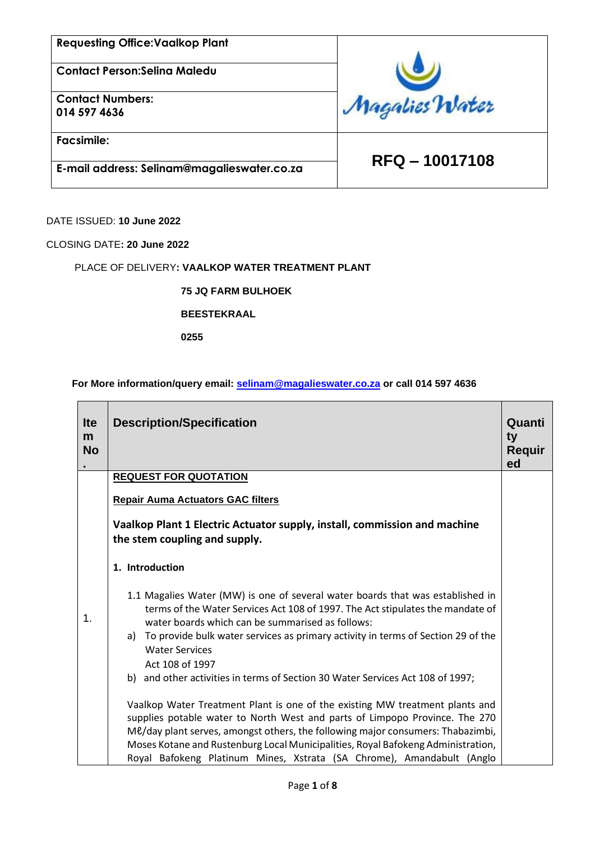**Contact Person:Selina Maledu**

**Contact Numbers: 014 597 4636**

**Facsimile:**

 **RFQ – 10017108 E-mail address: Selinam@magalieswater.co.za**

Magalies Water

DATE ISSUED: **10 June 2022**

CLOSING DATE**: 20 June 2022**

#### PLACE OF DELIVERY**: VAALKOP WATER TREATMENT PLANT**

**75 JQ FARM BULHOEK** 

#### **BEESTEKRAAL**

**0255**

### **For More information/query email: [selinam@magalieswater.co.za](mailto:selinam@magalieswater.co.za) or call 014 597 4636**

| <b>Ite</b><br>m<br><b>No</b> | <b>Description/Specification</b>                                                                                                                                                                                                               | Quanti<br>ty<br><b>Requir</b><br>ed |
|------------------------------|------------------------------------------------------------------------------------------------------------------------------------------------------------------------------------------------------------------------------------------------|-------------------------------------|
|                              | <b>REQUEST FOR QUOTATION</b>                                                                                                                                                                                                                   |                                     |
|                              | <b>Repair Auma Actuators GAC filters</b>                                                                                                                                                                                                       |                                     |
|                              | Vaalkop Plant 1 Electric Actuator supply, install, commission and machine<br>the stem coupling and supply.                                                                                                                                     |                                     |
|                              | 1. Introduction                                                                                                                                                                                                                                |                                     |
| 1.                           | 1.1 Magalies Water (MW) is one of several water boards that was established in<br>terms of the Water Services Act 108 of 1997. The Act stipulates the mandate of<br>water boards which can be summarised as follows:                           |                                     |
|                              | To provide bulk water services as primary activity in terms of Section 29 of the<br>a)<br><b>Water Services</b>                                                                                                                                |                                     |
|                              | Act 108 of 1997<br>b) and other activities in terms of Section 30 Water Services Act 108 of 1997;                                                                                                                                              |                                     |
|                              | Vaalkop Water Treatment Plant is one of the existing MW treatment plants and<br>supplies potable water to North West and parts of Limpopo Province. The 270<br>Me/day plant serves, amongst others, the following major consumers: Thabazimbi, |                                     |
|                              | Moses Kotane and Rustenburg Local Municipalities, Royal Bafokeng Administration,<br>Royal Bafokeng Platinum Mines, Xstrata (SA Chrome), Amandabult (Anglo                                                                                      |                                     |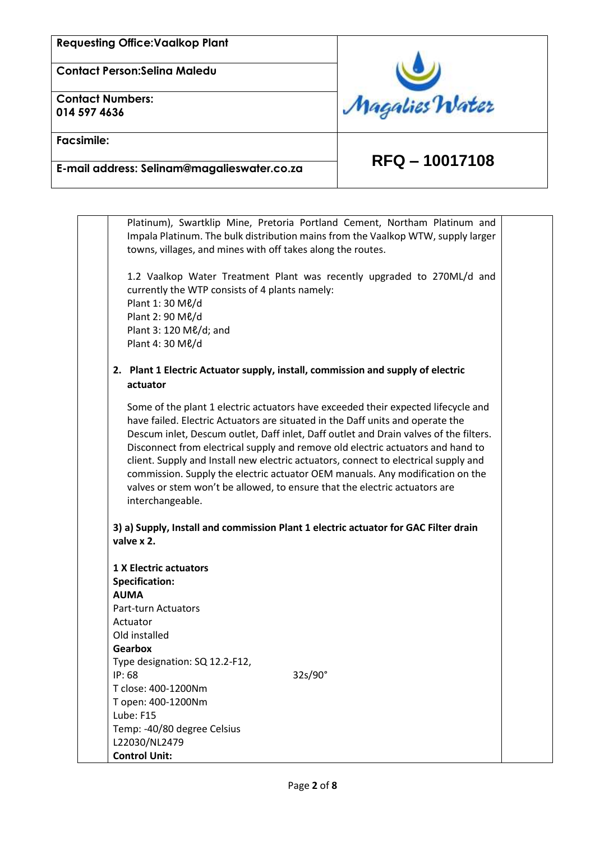**Contact Person:Selina Maledu**

**Contact Numbers: 014 597 4636**



**Facsimile:**

# **RFQ – 10017108 E-mail address: Selinam@magalieswater.co.za**

Platinum), Swartklip Mine, Pretoria Portland Cement, Northam Platinum and Impala Platinum. The bulk distribution mains from the Vaalkop WTW, supply larger towns, villages, and mines with off takes along the routes. 1.2 Vaalkop Water Treatment Plant was recently upgraded to 270ML/d and currently the WTP consists of 4 plants namely: Plant 1: 30 Mℓ/d Plant 2: 90 Mℓ/d Plant 3: 120 Mℓ/d; and Plant 4: 30 Mℓ/d **2. Plant 1 Electric Actuator supply, install, commission and supply of electric actuator** Some of the plant 1 electric actuators have exceeded their expected lifecycle and have failed. Electric Actuators are situated in the Daff units and operate the Descum inlet, Descum outlet, Daff inlet, Daff outlet and Drain valves of the filters. Disconnect from electrical supply and remove old electric actuators and hand to client. Supply and Install new electric actuators, connect to electrical supply and commission. Supply the electric actuator OEM manuals. Any modification on the valves or stem won't be allowed, to ensure that the electric actuators are interchangeable. **3) a) Supply, Install and commission Plant 1 electric actuator for GAC Filter drain valve x 2. 1 X Electric actuators Specification: AUMA** Part-turn Actuators Actuator Old installed **Gearbox** Type designation: SQ 12.2-F12, IP: 68 32s/90° T close: 400-1200Nm T open: 400-1200Nm Lube: F15 Temp: -40/80 degree Celsius L22030/NL2479 **Control Unit:**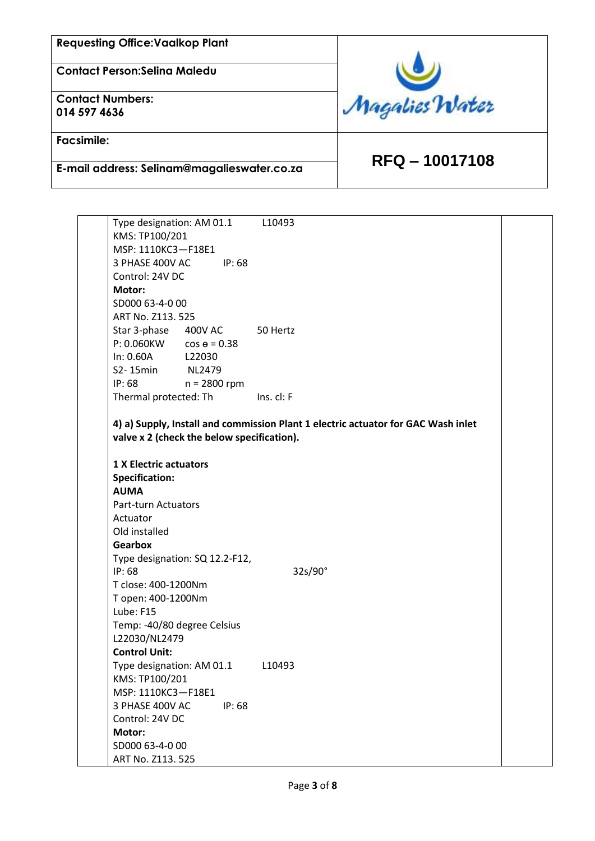**Contact Person:Selina Maledu**

**Contact Numbers: 014 597 4636**

**Facsimile:**

 **RFQ – 10017108 E-mail address: Selinam@magalieswater.co.za**

Magalies Water

Type designation: AM 01.1 L10493 KMS: TP100/201 MSP: 1110KC3—F18E1 3 PHASE 400V AC IP: 68 Control: 24V DC **Motor:** SD000 63-4-0 00 ART No. Z113. 525 Star 3-phase 400V AC 50 Hertz  $P: 0.060$ KW  $cos \theta = 0.38$ In: 0.60A L22030 S2- 15min NL2479 IP: 68 n = 2800 rpm Thermal protected: Th Ins. cl: F **4) a) Supply, Install and commission Plant 1 electric actuator for GAC Wash inlet valve x 2 (check the below specification). 1 X Electric actuators Specification: AUMA** Part-turn Actuators Actuator Old installed **Gearbox** Type designation: SQ 12.2-F12, IP: 68 32s/90° T close: 400-1200Nm T open: 400-1200Nm Lube: F15 Temp: -40/80 degree Celsius L22030/NL2479 **Control Unit:** Type designation: AM 01.1 L10493 KMS: TP100/201 MSP: 1110KC3—F18E1 3 PHASE 400V AC IP: 68 Control: 24V DC **Motor:** SD000 63-4-0 00 ART No. Z113. 525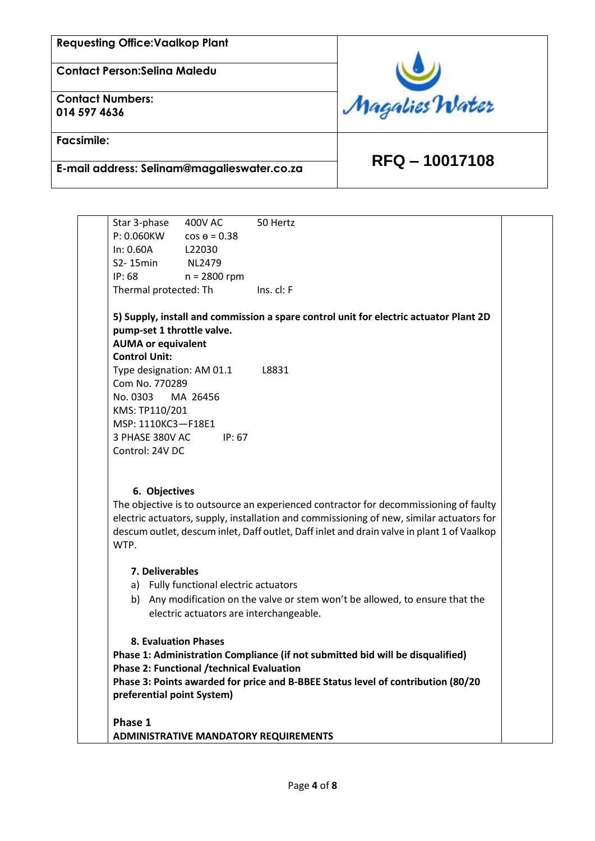**Contact Person:Selina Maledu**

**Contact Numbers: 014 597 4636**

**Facsimile:**



# **RFQ – 10017108 E-mail address: Selinam@magalieswater.co.za**

Star 3-phase 400V AC 50 Hertz  $P: 0.060KW$  cos  $e = 0.38$ In: 0.60A L22030 S2- 15min NL2479 IP: 68 n = 2800 rpm Thermal protected: Th Ins. cl: F

#### **5) Supply, install and commission a spare control unit for electric actuator Plant 2D pump-set 1 throttle valve. AUMA or equivalent**

**Control Unit:**

Type designation: AM 01.1 L8831 Com No. 770289 No. 0303 MA 26456 KMS: TP110/201 MSP: 1110KC3—F18E1 3 PHASE 380V AC IP: 67 Control: 24V DC

## **6. Objectives**

The objective is to outsource an experienced contractor for decommissioning of faulty electric actuators, supply, installation and commissioning of new, similar actuators for descum outlet, descum inlet, Daff outlet, Daff inlet and drain valve in plant 1 of Vaalkop WTP.

#### **7. Deliverables**

- a) Fully functional electric actuators
- b) Any modification on the valve or stem won't be allowed, to ensure that the electric actuators are interchangeable.

#### **8. Evaluation Phases**

**Phase 1: Administration Compliance (if not submitted bid will be disqualified) Phase 2: Functional /technical Evaluation** 

**Phase 3: Points awarded for price and B-BBEE Status level of contribution (80/20 preferential point System)**

**Phase 1 ADMINISTRATIVE MANDATORY REQUIREMENTS**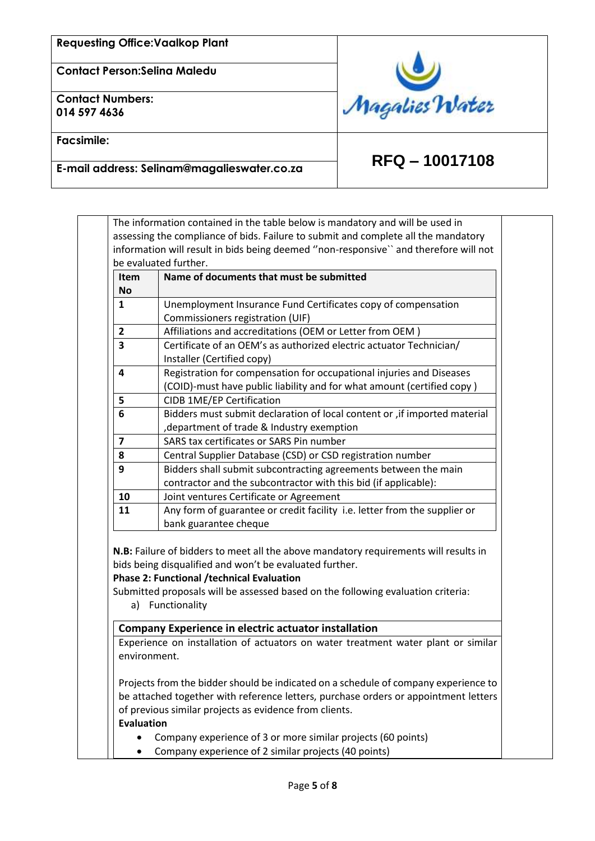**Contact Person:Selina Maledu**

**Contact Numbers: 014 597 4636**

**Facsimile:**



# **RFQ – 10017108 E-mail address: Selinam@magalieswater.co.za**

| Item                              | Name of documents that must be submitted                                                                                                                                                                                             |  |  |
|-----------------------------------|--------------------------------------------------------------------------------------------------------------------------------------------------------------------------------------------------------------------------------------|--|--|
| No                                |                                                                                                                                                                                                                                      |  |  |
| 1                                 | Unemployment Insurance Fund Certificates copy of compensation                                                                                                                                                                        |  |  |
| $\overline{2}$                    | Commissioners registration (UIF)                                                                                                                                                                                                     |  |  |
| 3                                 | Affiliations and accreditations (OEM or Letter from OEM)<br>Certificate of an OEM's as authorized electric actuator Technician/                                                                                                      |  |  |
|                                   | Installer (Certified copy)                                                                                                                                                                                                           |  |  |
| 4                                 | Registration for compensation for occupational injuries and Diseases                                                                                                                                                                 |  |  |
|                                   | (COID)-must have public liability and for what amount (certified copy)                                                                                                                                                               |  |  |
| 5                                 | CIDB 1ME/EP Certification                                                                                                                                                                                                            |  |  |
| 6                                 | Bidders must submit declaration of local content or , if imported material                                                                                                                                                           |  |  |
|                                   | , department of trade & Industry exemption                                                                                                                                                                                           |  |  |
| 7                                 | SARS tax certificates or SARS Pin number                                                                                                                                                                                             |  |  |
| 8                                 | Central Supplier Database (CSD) or CSD registration number                                                                                                                                                                           |  |  |
| 9                                 | Bidders shall submit subcontracting agreements between the main                                                                                                                                                                      |  |  |
|                                   | contractor and the subcontractor with this bid (if applicable):                                                                                                                                                                      |  |  |
| 10                                | Joint ventures Certificate or Agreement                                                                                                                                                                                              |  |  |
| 11                                | Any form of guarantee or credit facility i.e. letter from the supplier or                                                                                                                                                            |  |  |
|                                   | bank guarantee cheque                                                                                                                                                                                                                |  |  |
|                                   | N.B: Failure of bidders to meet all the above mandatory requirements will results in                                                                                                                                                 |  |  |
|                                   | bids being disqualified and won't be evaluated further.<br><b>Phase 2: Functional /technical Evaluation</b><br>Submitted proposals will be assessed based on the following evaluation criteria:<br>a) Functionality                  |  |  |
|                                   | <b>Company Experience in electric actuator installation</b>                                                                                                                                                                          |  |  |
|                                   | Experience on installation of actuators on water treatment water plant or similar                                                                                                                                                    |  |  |
| environment.<br><b>Evaluation</b> | Projects from the bidder should be indicated on a schedule of company experience to<br>be attached together with reference letters, purchase orders or appointment letters<br>of previous similar projects as evidence from clients. |  |  |
|                                   | Company experience of 3 or more similar projects (60 points)                                                                                                                                                                         |  |  |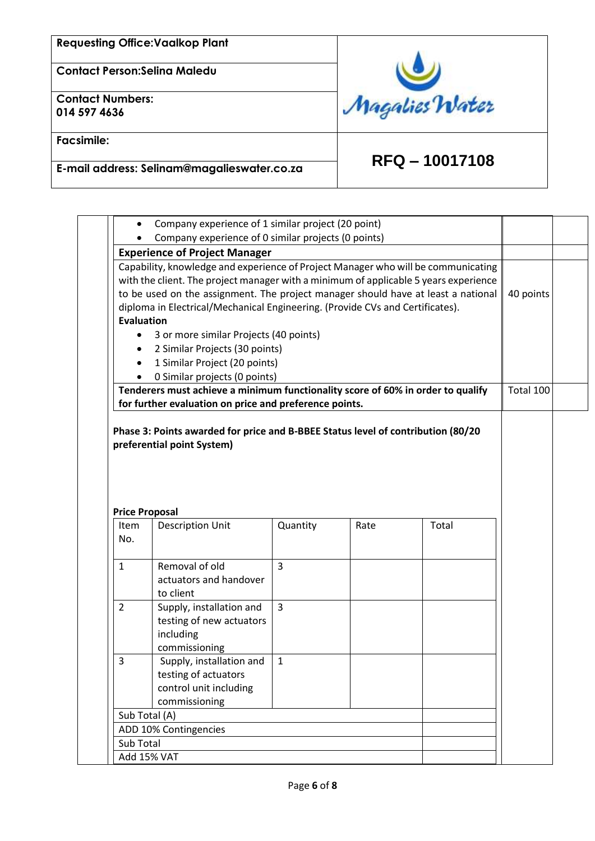**Contact Person:Selina Maledu**

**Contact Numbers: 014 597 4636**

**Facsimile:**



 **RFQ – 10017108 E-mail address: Selinam@magalieswater.co.za**

| Company experience of 1 similar project (20 point)<br>$\bullet$                                                                                                                                                                                                                                                                                 |                                                                                                                                           |                |      |       |           |  |
|-------------------------------------------------------------------------------------------------------------------------------------------------------------------------------------------------------------------------------------------------------------------------------------------------------------------------------------------------|-------------------------------------------------------------------------------------------------------------------------------------------|----------------|------|-------|-----------|--|
| Company experience of 0 similar projects (0 points)                                                                                                                                                                                                                                                                                             |                                                                                                                                           |                |      |       |           |  |
| <b>Experience of Project Manager</b>                                                                                                                                                                                                                                                                                                            |                                                                                                                                           |                |      |       |           |  |
| Capability, knowledge and experience of Project Manager who will be communicating<br>with the client. The project manager with a minimum of applicable 5 years experience<br>to be used on the assignment. The project manager should have at least a national<br>diploma in Electrical/Mechanical Engineering. (Provide CVs and Certificates). |                                                                                                                                           |                |      |       |           |  |
| <b>Evaluation</b>                                                                                                                                                                                                                                                                                                                               |                                                                                                                                           |                |      |       |           |  |
| ٠                                                                                                                                                                                                                                                                                                                                               | 3 or more similar Projects (40 points)                                                                                                    |                |      |       |           |  |
| $\bullet$                                                                                                                                                                                                                                                                                                                                       | 2 Similar Projects (30 points)                                                                                                            |                |      |       |           |  |
| $\bullet$                                                                                                                                                                                                                                                                                                                                       | 1 Similar Project (20 points)                                                                                                             |                |      |       |           |  |
|                                                                                                                                                                                                                                                                                                                                                 | 0 Similar projects (0 points)                                                                                                             |                |      |       |           |  |
|                                                                                                                                                                                                                                                                                                                                                 | Tenderers must achieve a minimum functionality score of 60% in order to qualify<br>for further evaluation on price and preference points. |                |      |       | Total 100 |  |
|                                                                                                                                                                                                                                                                                                                                                 |                                                                                                                                           |                |      |       |           |  |
|                                                                                                                                                                                                                                                                                                                                                 | <b>Price Proposal</b><br><b>Description Unit</b>                                                                                          | Quantity       | Rate | Total |           |  |
|                                                                                                                                                                                                                                                                                                                                                 |                                                                                                                                           |                |      |       |           |  |
| Item<br>No.<br>$\mathbf{1}$                                                                                                                                                                                                                                                                                                                     | Removal of old<br>actuators and handover<br>to client                                                                                     | 3              |      |       |           |  |
| $\overline{2}$                                                                                                                                                                                                                                                                                                                                  | Supply, installation and<br>testing of new actuators<br>including<br>commissioning                                                        | $\overline{3}$ |      |       |           |  |
| 3                                                                                                                                                                                                                                                                                                                                               | Supply, installation and<br>testing of actuators<br>control unit including<br>commissioning                                               | 1              |      |       |           |  |
|                                                                                                                                                                                                                                                                                                                                                 | Sub Total (A)                                                                                                                             |                |      |       |           |  |
|                                                                                                                                                                                                                                                                                                                                                 | ADD 10% Contingencies                                                                                                                     |                |      |       |           |  |
| Sub Total                                                                                                                                                                                                                                                                                                                                       |                                                                                                                                           |                |      |       |           |  |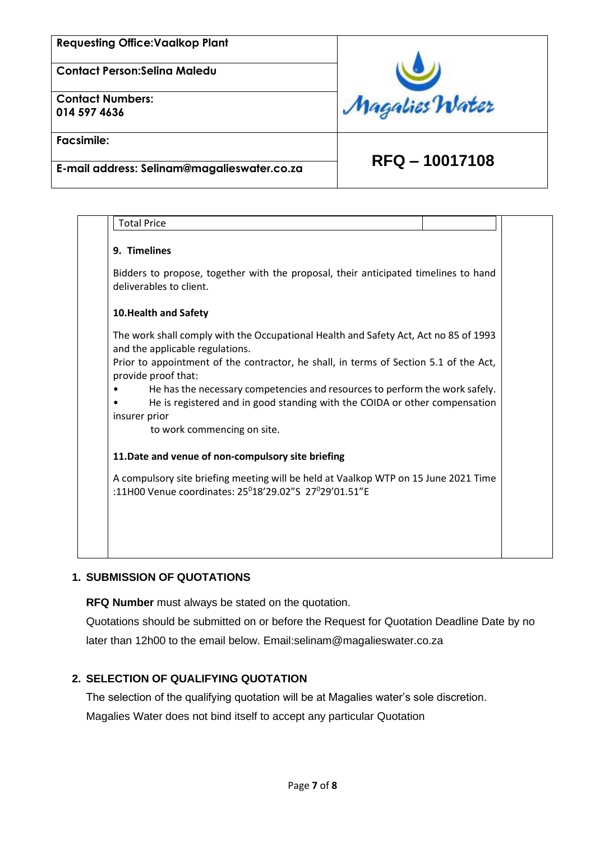**Contact Person:Selina Maledu**

**Contact Numbers: 014 597 4636**



**Facsimile:**

 **RFQ – 10017108 E-mail address: Selinam@magalieswater.co.za**

| <b>Total Price</b>                                                                                                                                                         |  |
|----------------------------------------------------------------------------------------------------------------------------------------------------------------------------|--|
| 9. Timelines                                                                                                                                                               |  |
| Bidders to propose, together with the proposal, their anticipated timelines to hand<br>deliverables to client.                                                             |  |
| 10. Health and Safety                                                                                                                                                      |  |
| The work shall comply with the Occupational Health and Safety Act, Act no 85 of 1993<br>and the applicable regulations.                                                    |  |
| Prior to appointment of the contractor, he shall, in terms of Section 5.1 of the Act,<br>provide proof that:                                                               |  |
| He has the necessary competencies and resources to perform the work safely.<br>He is registered and in good standing with the COIDA or other compensation<br>insurer prior |  |
| to work commencing on site.                                                                                                                                                |  |
| 11. Date and venue of non-compulsory site briefing                                                                                                                         |  |
| A compulsory site briefing meeting will be held at Vaalkop WTP on 15 June 2021 Time<br>:11H00 Venue coordinates: 25 <sup>0</sup> 18'29.02"S 27 <sup>0</sup> 29'01.51"E     |  |
|                                                                                                                                                                            |  |
|                                                                                                                                                                            |  |
|                                                                                                                                                                            |  |

## **1. SUBMISSION OF QUOTATIONS**

**RFQ Number** must always be stated on the quotation.

Quotations should be submitted on or before the Request for Quotation Deadline Date by no later than 12h00 to the email below. Email:selinam@magalieswater.co.za

#### **2. SELECTION OF QUALIFYING QUOTATION**

The selection of the qualifying quotation will be at Magalies water's sole discretion. Magalies Water does not bind itself to accept any particular Quotation